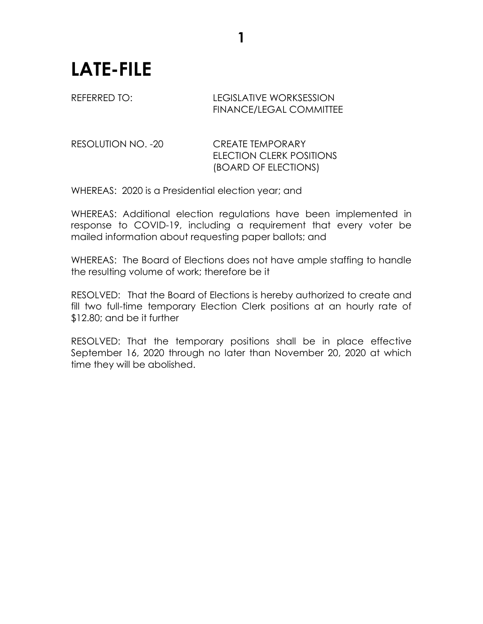## **LATE-FILE**

## REFERRED TO: LEGISLATIVE WORKSESSION FINANCE/LEGAL COMMITTEE

RESOLUTION NO. -20 CREATE TEMPORARY ELECTION CLERK POSITIONS (BOARD OF ELECTIONS)

WHEREAS: 2020 is a Presidential election year; and

WHEREAS: Additional election regulations have been implemented in response to COVID-19, including a requirement that every voter be mailed information about requesting paper ballots; and

**1**

WHEREAS: The Board of Elections does not have ample staffing to handle the resulting volume of work; therefore be it

RESOLVED: That the Board of Elections is hereby authorized to create and fill two full-time temporary Election Clerk positions at an hourly rate of \$12.80; and be it further

RESOLVED: That the temporary positions shall be in place effective September 16, 2020 through no later than November 20, 2020 at which time they will be abolished.